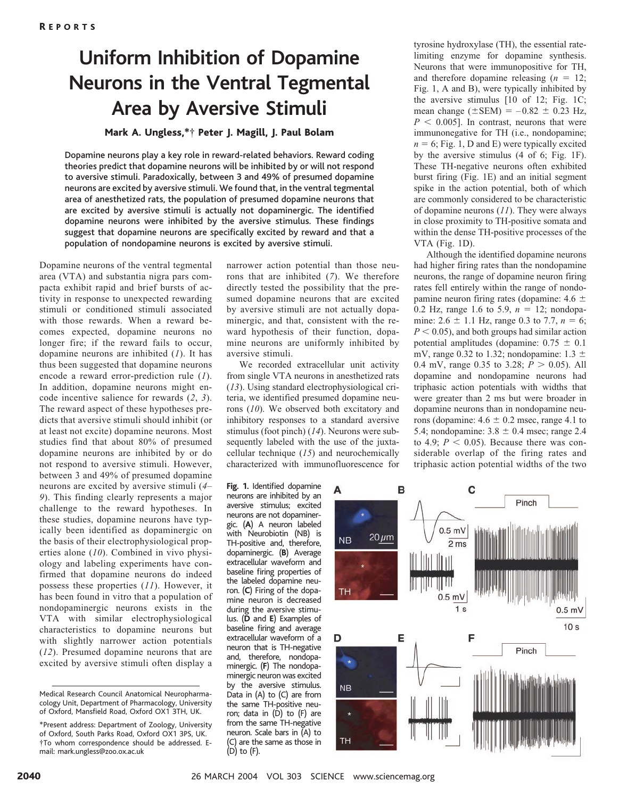## **Uniform Inhibition of Dopamine Neurons in the Ventral Tegmental Area by Aversive Stimuli**

## Mark A. Ungless,\*† Peter J. Magill, J. Paul Bolam

Dopamine neurons play a key role in reward-related behaviors. Reward coding theories predict that dopamine neurons will be inhibited by or will not respond to aversive stimuli. Paradoxically, between 3 and 49% of presumed dopamine neurons are excited by aversive stimuli. We found that, in the ventral tegmental area of anesthetized rats, the population of presumed dopamine neurons that are excited by aversive stimuli is actually not dopaminergic. The identified dopamine neurons were inhibited by the aversive stimulus. These findings suggest that dopamine neurons are specifically excited by reward and that a population of nondopamine neurons is excited by aversive stimuli.

Dopamine neurons of the ventral tegmental area (VTA) and substantia nigra pars compacta exhibit rapid and brief bursts of activity in response to unexpected rewarding stimuli or conditioned stimuli associated with those rewards. When a reward becomes expected, dopamine neurons no longer fire; if the reward fails to occur, dopamine neurons are inhibited (*1*). It has thus been suggested that dopamine neurons encode a reward error-prediction rule (*1*). In addition, dopamine neurons might encode incentive salience for rewards (*2*, *3*). The reward aspect of these hypotheses predicts that aversive stimuli should inhibit (or at least not excite) dopamine neurons. Most studies find that about 80% of presumed dopamine neurons are inhibited by or do not respond to aversive stimuli. However, between 3 and 49% of presumed dopamine neurons are excited by aversive stimuli (*4*– *9*). This finding clearly represents a major challenge to the reward hypotheses. In these studies, dopamine neurons have typically been identified as dopaminergic on the basis of their electrophysiological properties alone (*10*). Combined in vivo physiology and labeling experiments have confirmed that dopamine neurons do indeed possess these properties (*11*). However, it has been found in vitro that a population of nondopaminergic neurons exists in the VTA with similar electrophysiological characteristics to dopamine neurons but with slightly narrower action potentials (*12*). Presumed dopamine neurons that are excited by aversive stimuli often display a narrower action potential than those neurons that are inhibited (*7*). We therefore directly tested the possibility that the presumed dopamine neurons that are excited by aversive stimuli are not actually dopaminergic, and that, consistent with the reward hypothesis of their function, dopamine neurons are uniformly inhibited by aversive stimuli.

We recorded extracellular unit activity from single VTA neurons in anesthetized rats (*13*). Using standard electrophysiological criteria, we identified presumed dopamine neurons (*10*). We observed both excitatory and inhibitory responses to a standard aversive stimulus (foot pinch) (*14*). Neurons were subsequently labeled with the use of the juxtacellular technique (*15*) and neurochemically characterized with immunofluorescence for

**Fig. 1.** Identified dopamine neurons are inhibited by an aversive stimulus; excited neurons are not dopaminergic. (**A**) A neuron labeled with Neurobiotin (NB) is TH-positive and, therefore, dopaminergic. (**B**) Average extracellular waveform and baseline firing properties of the labeled dopamine neuron. (**C**) Firing of the dopamine neuron is decreased during the aversive stimulus. (**D** and **E**) Examples of baseline firing and average extracellular waveform of a neuron that is TH-negative and, therefore, nondopaminergic. (**F**) The nondopaminergic neuron was excited by the aversive stimulus. Data in (A) to (C) are from the same TH-positive neuron; data in (D) to (F) are from the same TH-negative neuron. Scale bars in (A) to (C) are the same as those in (D) to (F).

limiting enzyme for dopamine synthesis. Neurons that were immunopositive for TH, and therefore dopamine releasing  $(n = 12)$ ; Fig. 1, A and B), were typically inhibited by the aversive stimulus [10 of 12; Fig. 1C; mean change  $(\pm$ SEM $) = -0.82 \pm 0.23$  Hz,  $P \leq 0.005$ ]. In contrast, neurons that were immunonegative for TH (i.e., nondopamine;  $n = 6$ ; Fig. 1, D and E) were typically excited by the aversive stimulus (4 of 6; Fig. 1F). These TH-negative neurons often exhibited burst firing (Fig. 1E) and an initial segment spike in the action potential, both of which are commonly considered to be characteristic of dopamine neurons (*11*). They were always in close proximity to TH-positive somata and within the dense TH-positive processes of the VTA (Fig. 1D).

tyrosine hydroxylase (TH), the essential rate-

Although the identified dopamine neurons had higher firing rates than the nondopamine neurons, the range of dopamine neuron firing rates fell entirely within the range of nondopamine neuron firing rates (dopamine:  $4.6 \pm$ 0.2 Hz, range 1.6 to 5.9,  $n = 12$ ; nondopamine:  $2.6 \pm 1.1$  Hz, range 0.3 to 7.7,  $n = 6$ ;  $P < 0.05$ ), and both groups had similar action potential amplitudes (dopamine:  $0.75 \pm 0.1$ mV, range 0.32 to 1.32; nondopamine:  $1.3 \pm$ 0.4 mV, range 0.35 to 3.28;  $P > 0.05$ ). All dopamine and nondopamine neurons had triphasic action potentials with widths that were greater than 2 ms but were broader in dopamine neurons than in nondopamine neurons (dopamine:  $4.6 \pm 0.2$  msec, range  $4.1$  to 5.4; nondopamine:  $3.8 \pm 0.4$  msec; range 2.4 to 4.9;  $P < 0.05$ ). Because there was considerable overlap of the firing rates and triphasic action potential widths of the two



Medical Research Council Anatomical Neuropharmacology Unit, Department of Pharmacology, University of Oxford, Mansfield Road, Oxford OX1 3TH, UK.

<sup>\*</sup>Present address: Department of Zoology, University of Oxford, South Parks Road, Oxford OX1 3PS, UK. †To whom correspondence should be addressed. Email: mark.ungless@zoo.ox.ac.uk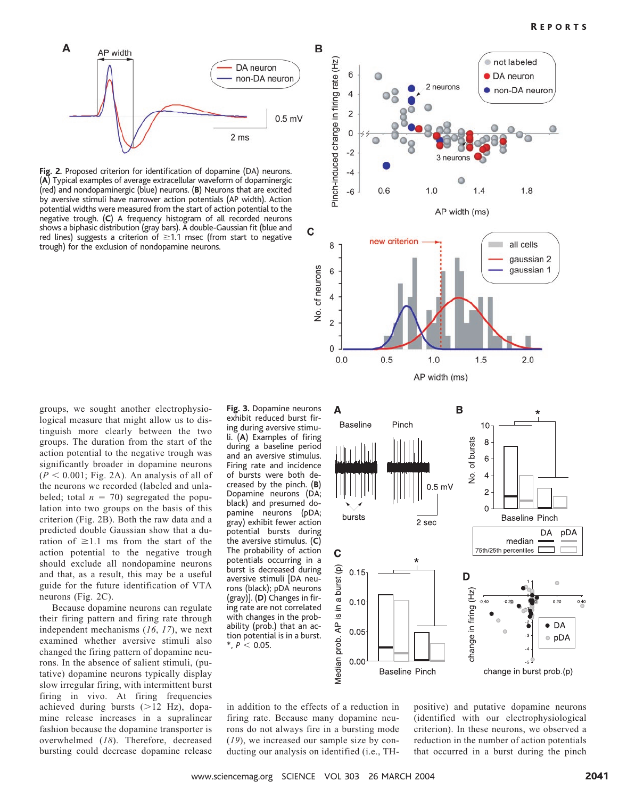

**Fig. 2.** Proposed criterion for identification of dopamine (DA) neurons. (**A**) Typical examples of average extracellular waveform of dopaminergic (red) and nondopaminergic (blue) neurons. (**B**) Neurons that are excited by aversive stimuli have narrower action potentials (AP width). Action potential widths were measured from the start of action potential to the negative trough. (**C**) A frequency histogram of all recorded neurons shows a biphasic distribution (gray bars). A double-Gaussian fit (blue and red lines) suggests a criterion of  $\geq$  1.1 msec (from start to negative trough) for the exclusion of nondopamine neurons.





Because dopamine neurons can regulate their firing pattern and firing rate through independent mechanisms (*16*, *17*), we next examined whether aversive stimuli also changed the firing pattern of dopamine neurons. In the absence of salient stimuli, (putative) dopamine neurons typically display slow irregular firing, with intermittent burst firing in vivo. At firing frequencies achieved during bursts  $(>12$  Hz), dopamine release increases in a supralinear fashion because the dopamine transporter is overwhelmed (*18*). Therefore, decreased bursting could decrease dopamine release

**Fig. 3.** Dopamine neurons exhibit reduced burst firing during aversive stimuli. (**A**) Examples of firing during a baseline period and an aversive stimulus. Firing rate and incidence of bursts were both decreased by the pinch. (**B**) Dopamine neurons (DA; black) and presumed dopamine neurons (pDA; gray) exhibit fewer action potential bursts during the aversive stimulus. (**C**) The probability of action potentials occurring in a burst is decreased during aversive stimuli [DA neurons (black); pDA neurons (gray)]. (**D**) Changes in firing rate are not correlated with changes in the probability (prob.) that an action potential is in a burst.  $*$ ,  $P < 0.05$ .



in addition to the effects of a reduction in firing rate. Because many dopamine neurons do not always fire in a bursting mode (*19*), we increased our sample size by conducting our analysis on identified (i.e., TH-

positive) and putative dopamine neurons (identified with our electrophysiological criterion). In these neurons, we observed a reduction in the number of action potentials that occurred in a burst during the pinch